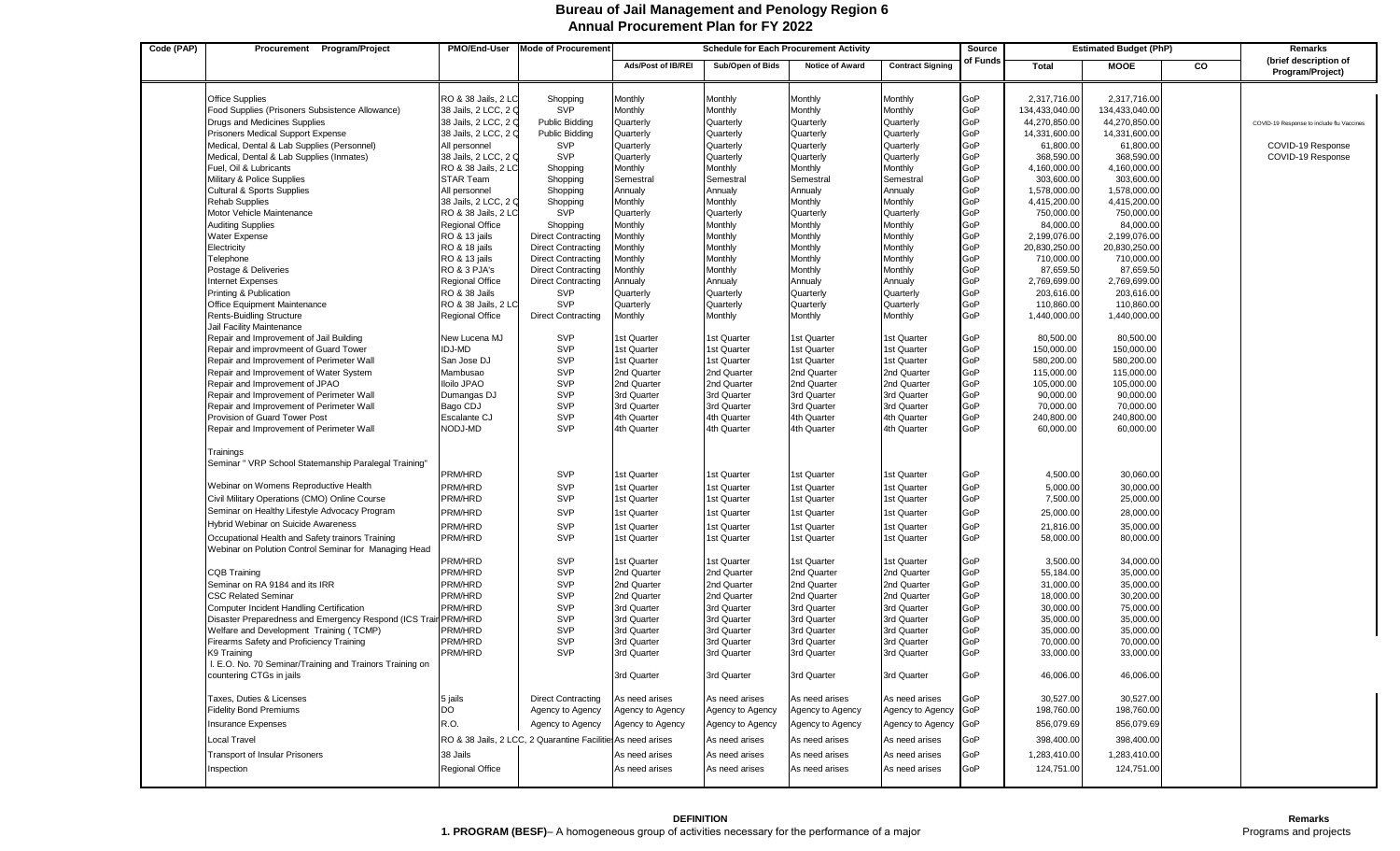## **Annual Procurement Plan for FY 2022 Bureau of Jail Management and Penology Region 6**

| Code (PAP) | Procurement Program/Project                                                         | PMO/End-User                            | <b>Mode of Procurement</b>                                  | <b>Schedule for Each Procurement Activity</b> |                            |                            |                            | Source     | <b>Estimated Budget (PhP)</b> |                            |    | Remarks                                   |
|------------|-------------------------------------------------------------------------------------|-----------------------------------------|-------------------------------------------------------------|-----------------------------------------------|----------------------------|----------------------------|----------------------------|------------|-------------------------------|----------------------------|----|-------------------------------------------|
|            |                                                                                     |                                         |                                                             | <b>Ads/Post of IB/REI</b>                     | Sub/Open of Bids           | <b>Notice of Award</b>     | <b>Contract Signing</b>    | of Funds   | <b>Total</b>                  | <b>MOOE</b>                | CO | (brief description of<br>Program/Project) |
|            |                                                                                     |                                         |                                                             |                                               |                            |                            |                            |            |                               |                            |    |                                           |
|            | <b>Office Supplies</b>                                                              | RO & 38 Jails, 2 LC                     | Shopping                                                    | Monthly                                       | Monthly                    | Monthly                    | Monthly                    | GoP        | 2,317,716.00                  | 2,317,716.00               |    |                                           |
|            | Food Supplies (Prisoners Subsistence Allowance)                                     | 38 Jails, 2 LCC, 2 C                    | SVP                                                         | Monthly                                       | Monthly                    | Monthly                    | Monthly                    | GoP        | 134,433,040.00                | 134,433,040.00             |    |                                           |
|            | Drugs and Medicines Supplies                                                        | 38 Jails, 2 LCC, 2 C                    | Public Bidding                                              | Quarterly                                     | Quarterly                  | Quarterly                  | Quarterly                  | GoP        | 44,270,850.00                 | 44,270,850.00              |    | COVID-19 Response to include flu Vaccines |
|            | Prisoners Medical Support Expense                                                   | 38 Jails, 2 LCC, 2 C                    | <b>Public Bidding</b>                                       | Quarterly                                     | Quarterly                  | Quarterly                  | Quarterly                  | GoP        | 14,331,600.00                 | 14,331,600.00              |    |                                           |
|            | Medical, Dental & Lab Supplies (Personnel)                                          | All personnel                           | <b>SVP</b>                                                  | Quarterly                                     | Quarterly                  | Quarterly                  | Quarterly                  | GoP        | 61,800.00                     | 61,800.00                  |    | COVID-19 Response                         |
|            | Medical, Dental & Lab Supplies (Inmates)                                            | 38 Jails, 2 LCC, 2 C                    | <b>SVP</b>                                                  | Quarterly                                     | Quarterly                  | Quarterly                  | Quarterly                  | GoP        | 368,590.00                    | 368,590.00                 |    | COVID-19 Response                         |
|            | Fuel, Oil & Lubricants<br>Military & Police Supplies                                | RO & 38 Jails, 2 LC<br><b>STAR Team</b> | Shopping<br>Shopping                                        | Monthly<br>Semestral                          | Monthly<br>Semestral       | Monthly<br>Semestral       | Monthly<br>Semestral       | GoP<br>GoP | 4,160,000.00<br>303,600.00    | 4,160,000.00<br>303,600.00 |    |                                           |
|            | <b>Cultural &amp; Sports Supplies</b>                                               | All personnel                           | Shopping                                                    | Annualy                                       | Annualy                    | Annualy                    | Annualy                    | GoP        | 1,578,000.00                  | 1,578,000.00               |    |                                           |
|            | <b>Rehab Supplies</b>                                                               | 38 Jails, 2 LCC, 2 C                    | Shopping                                                    | Monthly                                       | Monthly                    | Monthly                    | Monthly                    | GoP        | 4,415,200.00                  | 4,415,200.00               |    |                                           |
|            | Motor Vehicle Maintenance                                                           | RO & 38 Jails, 2 LC                     | <b>SVP</b>                                                  | Quarterly                                     | Quarterly                  | Quarterly                  | Quarterly                  | GoP        | 750,000.00                    | 750,000.00                 |    |                                           |
|            | <b>Auditing Supplies</b>                                                            | Regional Office                         | Shopping                                                    | Monthly                                       | Monthly                    | Monthly                    | Monthly                    | GoP        | 84,000.00                     | 84,000.00                  |    |                                           |
|            | Water Expense                                                                       | RO & 13 jails                           | <b>Direct Contracting</b>                                   | Monthly                                       | Monthly                    | Monthly                    | Monthly                    | GoP        | 2,199,076.00                  | 2,199,076.00               |    |                                           |
|            | Electricity                                                                         | RO & 18 jails                           | <b>Direct Contracting</b>                                   | Monthly                                       | Monthly                    | Monthly                    | Monthly                    | GoP        | 20,830,250.00                 | 20,830,250.00              |    |                                           |
|            | Telephone                                                                           | RO & 13 jails                           | <b>Direct Contracting</b>                                   | Monthly                                       | Monthly                    | Monthly                    | Monthly                    | GoP        | 710,000.00                    | 710,000.00                 |    |                                           |
|            | Postage & Deliveries                                                                | RO & 3 PJA's                            | <b>Direct Contracting</b>                                   | Monthly                                       | Monthly                    | Monthly                    | Monthly                    | GoP        | 87,659.50                     | 87,659.50                  |    |                                           |
|            | <b>Internet Expenses</b>                                                            | Regional Office                         | <b>Direct Contracting</b>                                   | Annualy                                       | Annualy                    | Annualy                    | Annualy                    | GoP        | 2,769,699.00                  | 2,769,699.00               |    |                                           |
|            | Printing & Publication                                                              | RO & 38 Jails                           | <b>SVP</b>                                                  | Quarterly                                     | Quarterly                  | Quarterly                  | Quarterly                  | GoP        | 203,616.00                    | 203,616.00                 |    |                                           |
|            | Office Equipment Maintenance                                                        | RO & 38 Jails, 2 LC                     | <b>SVP</b>                                                  | Quarterly                                     | Quarterly                  | Quarterly                  | Quarterly                  | GoP        | 110,860.00                    | 110,860.00                 |    |                                           |
|            | <b>Rents-Buidling Structure</b>                                                     | <b>Regional Office</b>                  | <b>Direct Contracting</b>                                   | Monthly                                       | Monthly                    | Monthly                    | <b>Monthly</b>             | GoP        | 1,440,000.00                  | 1,440,000.00               |    |                                           |
|            | Jail Facility Maintenance                                                           | New Lucena MJ                           | <b>SVP</b>                                                  | 1st Quarter                                   | 1st Quarter                | 1st Quarter                | 1st Quarter                | GoP        | 80,500.00                     | 80,500.00                  |    |                                           |
|            | Repair and Improvement of Jail Building<br>Repair and improvmeent of Guard Tower    | IDJ-MD                                  | SVP                                                         | 1st Quarter                                   | 1st Quarter                | 1st Quarter                | 1st Quarter                | GoP        | 150,000.00                    | 150,000.00                 |    |                                           |
|            | Repair and Improvement of Perimeter Wall                                            | San Jose DJ                             | SVP                                                         | 1st Quarter                                   | 1st Quarter                | 1st Quarter                | 1st Quarter                | GoP        | 580,200.00                    | 580,200.00                 |    |                                           |
|            | Repair and Improvement of Water System                                              | Mambusao                                | SVP                                                         | 2nd Quarter                                   | 2nd Quarter                | 2nd Quarter                | 2nd Quarter                | GoP        | 115,000.00                    | 115,000.00                 |    |                                           |
|            | Repair and Improvement of JPAO                                                      | <b>Iloilo JPAO</b>                      | SVP                                                         | 2nd Quarter                                   | 2nd Quarter                | 2nd Quarter                | 2nd Quarter                | GoP        | 105,000.00                    | 105,000.00                 |    |                                           |
|            | Repair and Improvement of Perimeter Wall                                            | Dumangas DJ                             | SVP                                                         | 3rd Quarter                                   | 3rd Quarter                | 3rd Quarter                | 3rd Quarter                | GoP        | 90,000.00                     | 90,000.00                  |    |                                           |
|            | Repair and Improvement of Perimeter Wall                                            | Bago CDJ                                | <b>SVP</b>                                                  | 3rd Quarter                                   | 3rd Quarter                | 3rd Quarter                | 3rd Quarter                | GoP        | 70,000.00                     | 70,000.00                  |    |                                           |
|            | Provision of Guard Tower Post                                                       | Escalante CJ                            | SVP                                                         | 4th Quarter                                   | 4th Quarter                | 4th Quarter                | 4th Quarter                | GoP        | 240,800.00                    | 240,800.00                 |    |                                           |
|            | Repair and Improvement of Perimeter Wall                                            | NODJ-MD                                 | <b>SVP</b>                                                  | 4th Quarter                                   | 4th Quarter                | 4th Quarter                | 4th Quarter                | GoP        | 60,000.00                     | 60,000.00                  |    |                                           |
|            | Trainings                                                                           |                                         |                                                             |                                               |                            |                            |                            |            |                               |                            |    |                                           |
|            | Seminar " VRP School Statemanship Paralegal Training'                               |                                         |                                                             |                                               |                            |                            |                            |            |                               |                            |    |                                           |
|            |                                                                                     | PRM/HRD                                 | <b>SVP</b>                                                  | 1st Quarter                                   | 1st Quarter                | 1st Quarter                | 1st Quarter                | GoP        | 4,500.00                      | 30,060.00                  |    |                                           |
|            | Webinar on Womens Reproductive Health                                               | PRM/HRD                                 | SVP                                                         | 1st Quarter                                   | 1st Quarter                | 1st Quarter                | 1st Quarter                | GoP        | 5,000.00                      | 30,000.00                  |    |                                           |
|            | Civil Military Operations (CMO) Online Course                                       | PRM/HRD                                 | <b>SVP</b>                                                  | 1st Quarter                                   | 1st Quarter                | 1st Quarter                | 1st Quarter                | GoP        | 7,500.00                      | 25,000.00                  |    |                                           |
|            | Seminar on Healthy Lifestyle Advocacy Program                                       | PRM/HRD                                 | SVP                                                         | 1st Quarter                                   | 1st Quarter                | 1st Quarter                | 1st Quarter                | GoP        | 25,000.00                     | 28,000.00                  |    |                                           |
|            | Hybrid Webinar on Suicide Awareness                                                 | PRM/HRD                                 | SVP                                                         | 1st Quarter                                   | 1st Quarter                | 1st Quarter                | 1st Quarter                | GoP        | 21,816.00                     | 35,000.00                  |    |                                           |
|            | Occupational Health and Safety trainors Training                                    | PRM/HRD                                 | SVP                                                         | 1st Quarter                                   | 1st Quarter                | 1st Quarter                | 1st Quarter                | GoP        | 58,000.00                     | 80,000.00                  |    |                                           |
|            | Webinar on Polution Control Seminar for Managing Head                               |                                         |                                                             |                                               |                            |                            |                            |            |                               |                            |    |                                           |
|            |                                                                                     | PRM/HRD                                 | SVP                                                         | 1st Quarter                                   | 1st Quarter                | 1st Quarter                | 1st Quarter                | GoP        | 3,500.00                      | 34,000.00                  |    |                                           |
|            | <b>CQB Training</b>                                                                 | PRM/HRD                                 | <b>SVP</b>                                                  | 2nd Quarter                                   | 2nd Quarter                | 2nd Quarter                | 2nd Quarter                | GoP        | 55,184.00                     | 35,000.00                  |    |                                           |
|            | Seminar on RA 9184 and its IRR                                                      | PRM/HRD                                 | SVP                                                         | 2nd Quarter                                   | 2nd Quarter                | 2nd Quarter                | 2nd Quarter                | GoP        | 31,000.00                     | 35,000.00                  |    |                                           |
|            | <b>CSC Related Seminar</b>                                                          | PRM/HRD                                 | SVP                                                         | 2nd Quarter                                   | 2nd Quarter                | 2nd Quarter                | 2nd Quarter                | GoP        | 18,000.00                     | 30,200.00                  |    |                                           |
|            | Computer Incident Handling Certification                                            | PRM/HRD                                 | <b>SVP</b>                                                  | 3rd Quarter                                   | 3rd Quarter                | 3rd Quarter                | 3rd Quarter                | GoP        | 30,000.00                     | 75,000.00                  |    |                                           |
|            | Disaster Preparedness and Emergency Respond (ICS Train PRM/HRD                      |                                         | <b>SVP</b>                                                  | 3rd Quarter                                   | 3rd Quarter                | 3rd Quarter                | 3rd Quarter                | GoP        | 35,000.00                     | 35,000.00                  |    |                                           |
|            | Welfare and Development Training (TCMP)<br>Firearms Safety and Proficiency Training | PRM/HRD<br>PRM/HRD                      | <b>SVP</b><br>SVP                                           | 3rd Quarter<br>3rd Quarter                    | 3rd Quarter<br>3rd Quarter | 3rd Quarter<br>3rd Quarter | 3rd Quarter<br>3rd Quarter | GoP<br>GoP | 35,000.00<br>70,000.00        | 35,000.00<br>70,000.00     |    |                                           |
|            | K9 Training                                                                         | PRM/HRD                                 | SVP                                                         | 3rd Quarter                                   | 3rd Quarter                | 3rd Quarter                | 3rd Quarter                | GoP        | 33,000.00                     | 33,000.00                  |    |                                           |
|            | I. E.O. No. 70 Seminar/Training and Trainors Training on                            |                                         |                                                             |                                               |                            |                            |                            |            |                               |                            |    |                                           |
|            | countering CTGs in jails                                                            |                                         |                                                             | 3rd Quarter                                   | 3rd Quarter                | 3rd Quarter                | 3rd Quarter                | GoP        | 46,006.00                     | 46,006.00                  |    |                                           |
|            | Taxes, Duties & Licenses                                                            | 5 jails                                 | <b>Direct Contracting</b>                                   | As need arises                                | As need arises             | As need arises             | As need arises             | GoP        | 30,527.00                     | 30,527.00                  |    |                                           |
|            | <b>Fidelity Bond Premiums</b>                                                       | DO                                      | Agency to Agency                                            | Agency to Agency                              | Agency to Agency           | Agency to Agency           | Agency to Agency           | GoP        | 198,760.00                    | 198,760.00                 |    |                                           |
|            |                                                                                     | R.O.                                    |                                                             |                                               |                            |                            |                            |            | 856,079.69                    | 856,079.69                 |    |                                           |
|            | <b>Insurance Expenses</b>                                                           |                                         | Agency to Agency                                            | Agency to Agency                              | Agency to Agency           | Agency to Agency           | Agency to Agency           | GoP        |                               |                            |    |                                           |
|            | Local Travel                                                                        |                                         | RO & 38 Jails, 2 LCC, 2 Quarantine Facilitie As need arises |                                               | As need arises             | As need arises             | As need arises             | GoP        | 398,400.00                    | 398,400.00                 |    |                                           |
|            | <b>Transport of Insular Prisoners</b>                                               | 38 Jails                                |                                                             | As need arises                                | As need arises             | As need arises             | As need arises             | GoP        | 1,283,410.00                  | 1,283,410.00               |    |                                           |
|            | Inspection                                                                          | Regional Office                         |                                                             | As need arises                                | As need arises             | As need arises             | As need arises             | GoP        | 124,751.00                    | 124,751.00                 |    |                                           |
|            |                                                                                     |                                         |                                                             |                                               |                            |                            |                            |            |                               |                            |    |                                           |